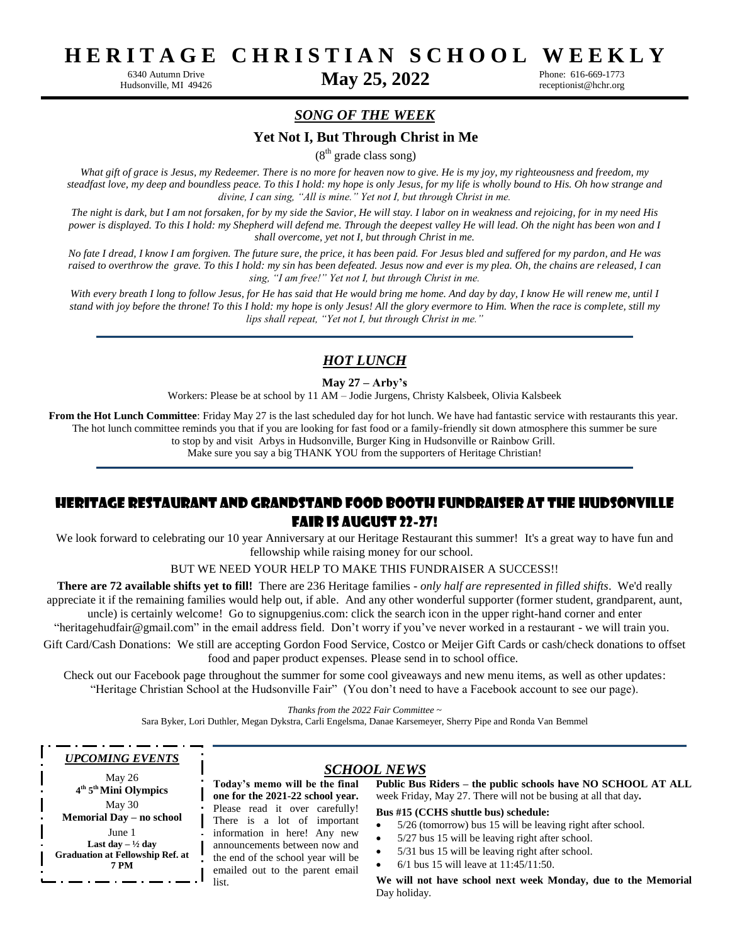**H E R I T A G E C H R I S T I A N S C H O O L W E E K L Y**

6340 Autumn Drive **May 25, 2022**

Phone: 616-669-1773 receptionist@hchr.org

## *SONG OF THE WEEK*

### **Yet Not I, But Through Christ in Me**

 $(8<sup>th</sup> \text{ grade class }$ song)

What gift of grace is Jesus, my Redeemer. There is no more for heaven now to give. He is my joy, my righteousness and freedom, my *steadfast love, my deep and boundless peace. To this I hold: my hope is only Jesus, for my life is wholly bound to His. Oh how strange and divine, I can sing, "All is mine." Yet not I, but through Christ in me.* 

*The night is dark, but I am not forsaken, for by my side the Savior, He will stay. I labor on in weakness and rejoicing, for in my need His power is displayed. To this I hold: my Shepherd will defend me. Through the deepest valley He will lead. Oh the night has been won and I shall overcome, yet not I, but through Christ in me.* 

*No fate I dread, I know I am forgiven. The future sure, the price, it has been paid. For Jesus bled and suffered for my pardon, and He was raised to overthrow the grave. To this I hold: my sin has been defeated. Jesus now and ever is my plea. Oh, the chains are released, I can sing, "I am free!" Yet not I, but through Christ in me.* 

*With every breath I long to follow Jesus, for He has said that He would bring me home. And day by day, I know He will renew me, until I stand with joy before the throne! To this I hold: my hope is only Jesus! All the glory evermore to Him. When the race is complete, still my lips shall repeat, "Yet not I, but through Christ in me."*

## *HOT LUNCH*

#### **May 27 – Arby's**

Workers: Please be at school by 11 AM – Jodie Jurgens, Christy Kalsbeek, Olivia Kalsbeek

**From the Hot Lunch Committee**: Friday May 27 is the last scheduled day for hot lunch. We have had fantastic service with restaurants this year. The hot lunch committee reminds you that if you are looking for fast food or a family-friendly sit down atmosphere this summer be sure to stop by and visit Arbys in Hudsonville, Burger King in Hudsonville or Rainbow Grill.

Make sure you say a big THANK YOU from the supporters of Heritage Christian!

# Heritage Restaurant and Grandstand Food Booth Fundraiser at the Hudsonville Fair is August 22-27!

We look forward to celebrating our 10 year Anniversary at our Heritage Restaurant this summer! It's a great way to have fun and fellowship while raising money for our school.

BUT WE NEED YOUR HELP TO MAKE THIS FUNDRAISER A SUCCESS!!

**There are 72 available shifts yet to fill!** There are 236 Heritage families - *only half are represented in filled shifts*. We'd really appreciate it if the remaining families would help out, if able. And any other wonderful supporter (former student, grandparent, aunt,

uncle) is certainly welcome! Go to [signupgenius.com:](https://signupgenius.com/?fbclid=IwAR3LU7ZZ57xcjHH_2dpnJrvtd-j6frDM7PnkDLTzRkMgstPRiO4PWMSVafQ) click the search icon in the upper right-hand corner and enter ["heritagehudfair@gmail.com"](mailto:heritagehudfair@gmail.com) in the email address field. Don't worry if you've never worked in a restaurant - we will train you.

Gift Card/Cash Donations: We still are accepting Gordon Food Service, Costco or Meijer Gift Cards or cash/check donations to offset food and paper product expenses. Please send in to school office.

Check out our Facebook page throughout the summer for some cool giveaways and new menu items, as well as other updates: "Heritage Christian School at the Hudsonville Fair" (You don't need to have a Facebook account to see our page).

*Thanks from the 2022 Fair Committee* ~

Sara Byker, Lori Duthler, Megan Dykstra, Carli Engelsma, Danae Karsemeyer, Sherry Pipe and Ronda Van Bemmel

#### *UPCOMING EVENTS*

May 26 **4 th 5 thMini Olympics** May 30 **Memorial Day – no school** June 1 **Last day – ½ day Graduation at Fellowship Ref. at 7 PM**

#### *SCHOOL NEWS*

**Today's memo will be the final one for the 2021-22 school year.**  Please read it over carefully! There is a lot of important information in here! Any new announcements between now and the end of the school year will be emailed out to the parent email list.

**Public Bus Riders – the public schools have NO SCHOOL AT ALL**  week Friday, May 27. There will not be busing at all that day**.**

**Bus #15 (CCHS shuttle bus) schedule:**

- 5/26 (tomorrow) bus 15 will be leaving right after school.
- 5/27 bus 15 will be leaving right after school.
- 5/31 bus 15 will be leaving right after school.
- 6/1 bus 15 will leave at 11:45/11:50.

**We will not have school next week Monday, due to the Memorial**  Day holiday.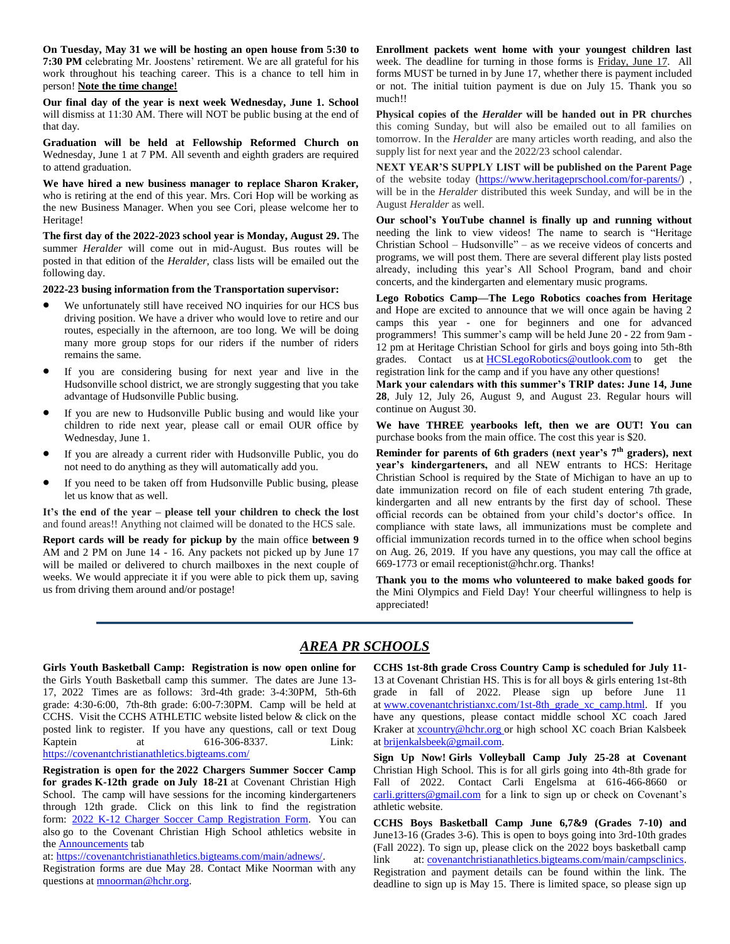**On Tuesday, May 31 we will be hosting an open house from 5:30 to 7:30 PM** celebrating Mr. Joostens' retirement. We are all grateful for his work throughout his teaching career. This is a chance to tell him in person! **Note the time change!**

**Our final day of the year is next week Wednesday, June 1. School**  will dismiss at 11:30 AM. There will NOT be public busing at the end of that day.

**Graduation will be held at Fellowship Reformed Church on** Wednesday, June 1 at 7 PM. All seventh and eighth graders are required to attend graduation.

**We have hired a new business manager to replace Sharon Kraker,**  who is retiring at the end of this year. Mrs. Cori Hop will be working as the new Business Manager. When you see Cori, please welcome her to Heritage!

**The first day of the 2022-2023 school year is Monday, August 29.** The summer *Heralder* will come out in mid-August. Bus routes will be posted in that edition of the *Heralder,* class lists will be emailed out the following day.

**2022-23 busing information from the Transportation supervisor:**

- We unfortunately still have received NO inquiries for our HCS bus driving position. We have a driver who would love to retire and our routes, especially in the afternoon, are too long. We will be doing many more group stops for our riders if the number of riders remains the same.
- If you are considering busing for next year and live in the Hudsonville school district, we are strongly suggesting that you take advantage of Hudsonville Public busing.
- If you are new to Hudsonville Public busing and would like your children to ride next year, please call or email OUR office by Wednesday, June 1.
- If you are already a current rider with Hudsonville Public, you do not need to do anything as they will automatically add you.
- If you need to be taken off from Hudsonville Public busing, please let us know that as well.

**It's the end of the year – please tell your children to check the lost**  and found areas!! Anything not claimed will be donated to the HCS sale.

**Report cards will be ready for pickup by** the main office **between 9**  AM and 2 PM on June 14 - 16. Any packets not picked up by June 17 will be mailed or delivered to church mailboxes in the next couple of weeks. We would appreciate it if you were able to pick them up, saving us from driving them around and/or postage!

**Enrollment packets went home with your youngest children last**  week. The deadline for turning in those forms is Friday, June 17. All forms MUST be turned in by June 17, whether there is payment included or not. The initial tuition payment is due on July 15. Thank you so much!!

**Physical copies of the** *Heralder* **will be handed out in PR churches**  this coming Sunday, but will also be emailed out to all families on tomorrow. In the *Heralder* are many articles worth reading, and also the supply list for next year and the 2022/23 school calendar.

**NEXT YEAR'S SUPPLY LIST will be published on the Parent Page**  of the website today [\(https://www.heritageprschool.com/for-parents/\)](https://www.heritageprschool.com/for-parents/) , will be in the *Heralder* distributed this week Sunday, and will be in the August *Heralder* as well.

**Our school's YouTube channel is finally up and running without**  needing the link to view videos! The name to search is "Heritage Christian School – Hudsonville" – as we receive videos of concerts and programs, we will post them. There are several different play lists posted already, including this year's All School Program, band and choir concerts, and the kindergarten and elementary music programs.

**Lego Robotics Camp—The Lego Robotics coaches from Heritage** and Hope are excited to announce that we will once again be having 2 camps this year - one for beginners and one for advanced programmers! This summer's camp will be held June 20 - 22 from 9am - 12 pm at Heritage Christian School for girls and boys going into 5th-8th grades. Contact us at **[HCSLegoRobotics@outlook.com](mailto:HCSLegoRobotics@outlook.com)** to get the registration link for the camp and if you have any other questions!

**Mark your calendars with this summer's TRIP dates: June 14, June 28**, July 12, July 26, August 9, and August 23. Regular hours will continue on August 30.

**We have THREE yearbooks left, then we are OUT! You can** purchase books from the main office. The cost this year is \$20.

**Reminder for parents of 6th graders (next year's 7th graders), next year's kindergarteners,** and all NEW entrants to HCS: Heritage Christian School is required by the State of Michigan to have an up to date immunization record on file of each student entering 7th grade, kindergarten and all new entrants by the first day of school. These official records can be obtained from your child's doctor's office. In compliance with state laws, all immunizations must be complete and official immunization records turned in to the office when school begins on Aug. 26, 2019. If you have any questions, you may call the office at 669-1773 or email [receptionist@hchr.org.](mailto:receptionist@hchr.org) Thanks!

**Thank you to the moms who volunteered to make baked goods for**  the Mini Olympics and Field Day! Your cheerful willingness to help is appreciated!

# *AREA PR SCHOOLS*

**Girls Youth Basketball Camp: Registration is now open online for**  the Girls Youth Basketball camp this summer. The dates are June 13- 17, 2022 Times are as follows: 3rd-4th grade: 3-4:30PM, 5th-6th grade: 4:30-6:00, 7th-8th grade: 6:00-7:30PM. Camp will be held at CCHS. Visit the CCHS ATHLETIC website listed below & click on the posted link to register. If you have any questions, call or text Doug Kaptein at 616-306-8337. Link: <https://covenantchristianathletics.bigteams.com/>

**Registration is open for the 2022 Chargers Summer Soccer Camp for grades K-12th grade on July 18-21** at Covenant Christian High School. The camp will have sessions for the incoming kindergarteners through 12th grade. Click on this link to find the registration form: [2022 K-12 Charger Soccer Camp Registration Form.](https://forms.gle/ugRzTFezX3Knt8i2A) You can also go to the Covenant Christian High School athletics website in the [Announcements](https://covenantchristianathletics.bigteams.com/main/adnews/) tab

at: [https://covenantchristianathletics.bigteams.com/main/adnews/.](https://covenantchristianathletics.bigteams.com/main/adnews/)

Registration forms are due May 28. Contact Mike Noorman with any questions at [mnoorman@hchr.org.](mailto:mnoorman@hchr.org)

**CCHS 1st-8th grade Cross Country Camp is scheduled for July 11-** 13 at Covenant Christian HS. This is for all boys & girls entering 1st-8th grade in fall of 2022. Please sign up before June 11 at [www.covenantchristianxc.com/1st-8th\\_grade\\_xc\\_camp.html.](https://www.covenantchristianxc.com/1st-8th_grade_xc_camp.html) If you have any questions, please contact middle school XC coach Jared Kraker at [xcountry@hchr.org](mailto:xcountry@hchr.org) or high school XC coach Brian Kalsbeek at [brijenkalsbeek@gmail.com.](mailto:brijenkalsbeek@gmail.com)

**Sign Up Now! Girls Volleyball Camp July 25-28 at Covenant**  Christian High School. This is for all girls going into 4th-8th grade for Fall of 2022. Contact Carli Engelsma at 616-466-8660 or [carli.gritters@gmail.com](mailto:carli.gritters@gmail.com) for a link to sign up or check on Covenant's athletic website.

**CCHS Boys Basketball Camp June 6,7&9 (Grades 7-10) and**  June13-16 (Grades 3-6). This is open to boys going into 3rd-10th grades (Fall 2022). To sign up, please click on the 2022 boys basketball camp link at: [covenantchristianathletics.bigteams.com/main/campsclinics.](http://covenantchristianathletics.bigteams.com/main/campsclinics) Registration and payment details can be found within the link. The deadline to sign up is May 15. There is limited space, so please sign up